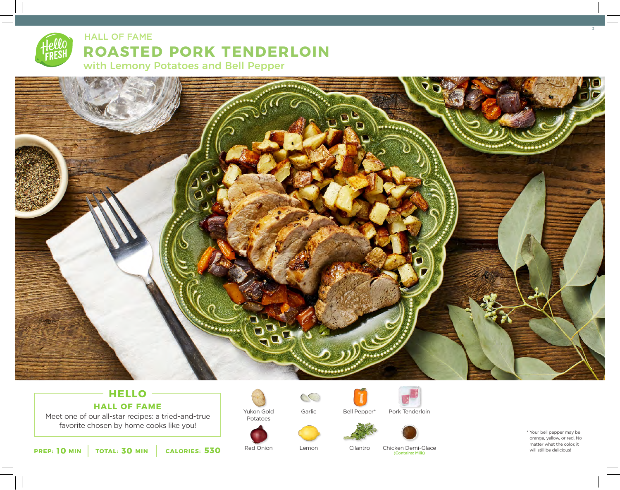



# **HELLO HALL OF FAME**

Meet one of our all-star recipes: a tried-and-true favorite chosen by home cooks like you!



Yukon Gold Potatoes

Lemon

Garlic

 $\infty$ 

Cilantro

Bell Pepper\*



Chicken Demi-Glace (Contains: Milk)

Pork Tenderloin

\* Your bell pepper may be orange, yellow, or red. No matter what the color, it<br>will still be delicious!

**10 101 <b>11 101 101 <b>ALORIES:** 530 **1 1 Exect Onling CALORIES:** 530 **1 1 Exect Onling C Club** *CONCRIES: <b>S 1 CALORIES: 530 1 1 CALORIES: 530 1 1 1 1 CALORIES: 530 1 1 1*